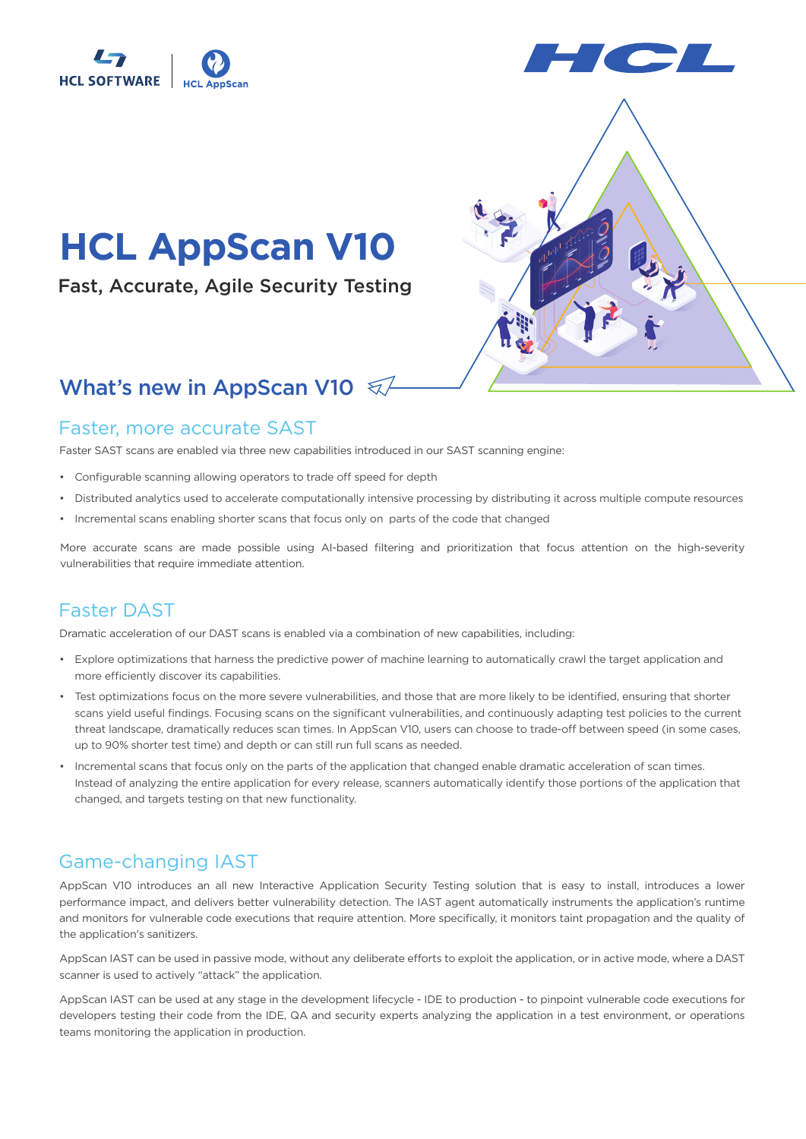



# **HCL AppScan V10**

Fast, Accurate, Agile Security Testing

## What's new in AppScan V10  $\sqrt{2}$

#### Faster, more accurate SAST

Faster SAST scans are enabled via three new capabilities introduced in our SAST scanning engine:

- Configurable scanning allowing operators to trade off speed for depth
- Distributed analytics used to accelerate computationally intensive processing by distributing it across multiple compute resources
- Incremental scans enabling shorter scans that focus only on parts of the code that changed

More accurate scans are made possible using AI-based filtering and prioritization that focus attention on the high-severity vulnerabilities that require immediate attention.

### Faster DAST

Dramatic acceleration of our DAST scans is enabled via a combination of new capabilities, including:

- Explore optimizations that harness the predictive power of machine learning to automatically crawl the target application and more efficiently discover its capabilities.
- Test optimizations focus on the more severe vulnerabilities, and those that are more likely to be identified, ensuring that shorter scans yield useful findings. Focusing scans on the significant vulnerabilities, and continuously adapting test policies to the current threat landscape, dramatically reduces scan times. In AppScan V10, users can choose to trade-off between speed (in some cases, up to 90% shorter test time) and depth or can still run full scans as needed.
- Incremental scans that focus only on the parts of the application that changed enable dramatic acceleration of scan times. Instead of analyzing the entire application for every release, scanners automatically identify those portions of the application that changed, and targets testing on that new functionality.

#### Game-changing IAST

AppScan V10 introduces an all new Interactive Application Security Testing solution that is easy to install, introduces a lower performance impact, and delivers better vulnerability detection. The IAST agent automatically instruments the application's runtime and monitors for vulnerable code executions that require attention. More specifically, it monitors taint propagation and the quality of the application's sanitizers.

AppScan IAST can be used in passive mode, without any deliberate efforts to exploit the application, or in active mode, where a DAST scanner is used to actively "attack" the application.

AppScan IAST can be used at any stage in the development lifecycle - IDE to production - to pinpoint vulnerable code executions for developers testing their code from the IDE, QA and security experts analyzing the application in a test environment, or operations teams monitoring the application in production.